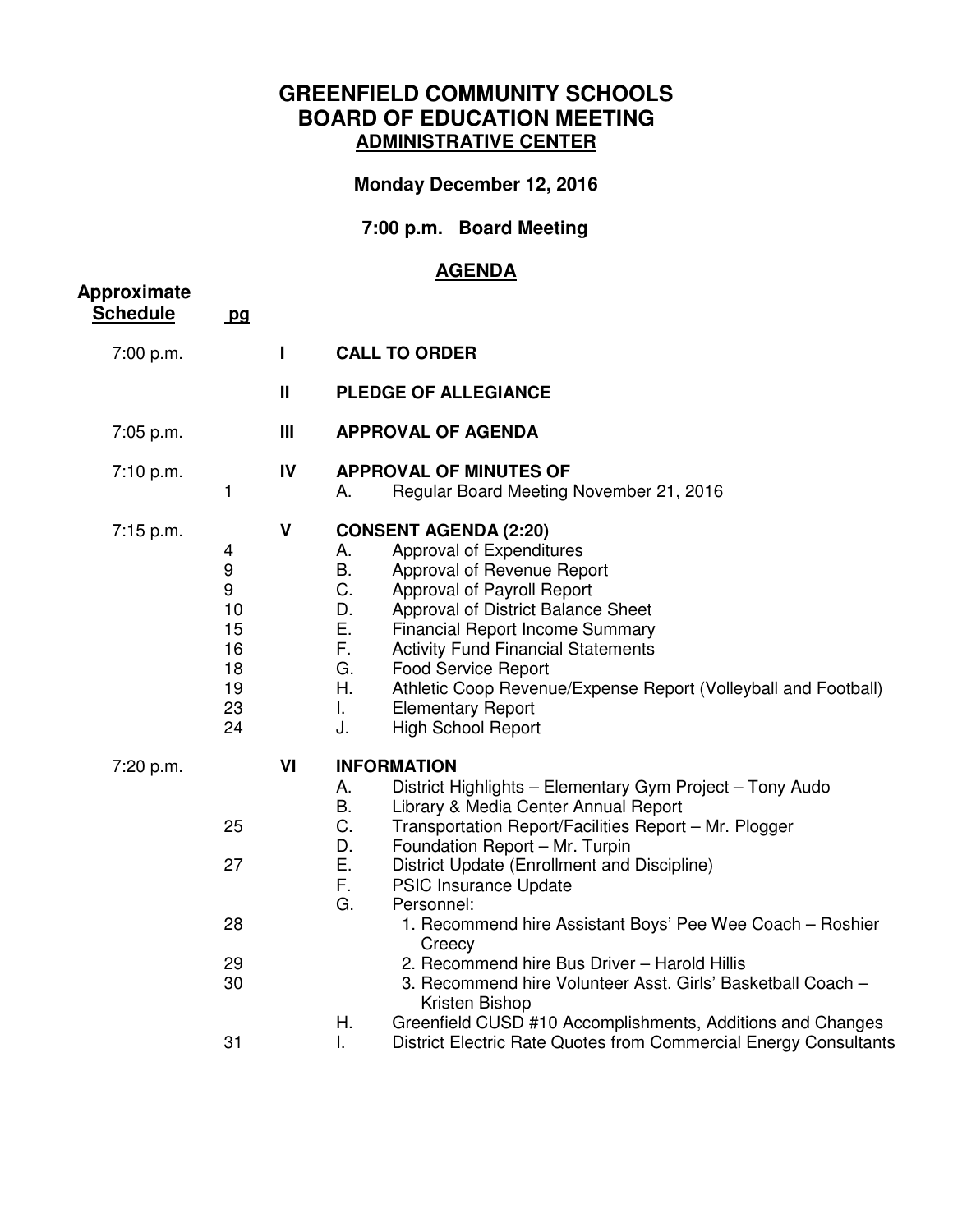### **GREENFIELD COMMUNITY SCHOOLS BOARD OF EDUCATION MEETING ADMINISTRATIVE CENTER**

# **Monday December 12, 2016**

# **7:00 p.m. Board Meeting**

#### **AGENDA**

| pq                                                    |                |                                                                                                                                                                                                                                                                                                                                                                                                                                                                                                                                                                                                                                                                                                                       |
|-------------------------------------------------------|----------------|-----------------------------------------------------------------------------------------------------------------------------------------------------------------------------------------------------------------------------------------------------------------------------------------------------------------------------------------------------------------------------------------------------------------------------------------------------------------------------------------------------------------------------------------------------------------------------------------------------------------------------------------------------------------------------------------------------------------------|
|                                                       | $\mathbf{I}$   | <b>CALL TO ORDER</b>                                                                                                                                                                                                                                                                                                                                                                                                                                                                                                                                                                                                                                                                                                  |
|                                                       | $\mathbf{I}$   | <b>PLEDGE OF ALLEGIANCE</b>                                                                                                                                                                                                                                                                                                                                                                                                                                                                                                                                                                                                                                                                                           |
|                                                       | $\mathbf{III}$ | <b>APPROVAL OF AGENDA</b>                                                                                                                                                                                                                                                                                                                                                                                                                                                                                                                                                                                                                                                                                             |
| 1                                                     | IV             | <b>APPROVAL OF MINUTES OF</b><br>Regular Board Meeting November 21, 2016<br>А.                                                                                                                                                                                                                                                                                                                                                                                                                                                                                                                                                                                                                                        |
| 4<br>9<br>9<br>10<br>15<br>16<br>18<br>19<br>23<br>24 | $\mathsf{V}$   | <b>CONSENT AGENDA (2:20)</b><br>Approval of Expenditures<br>А.<br><b>B.</b><br>Approval of Revenue Report<br>C.<br>Approval of Payroll Report<br>D.<br>Approval of District Balance Sheet<br>E.<br><b>Financial Report Income Summary</b><br>F.,<br><b>Activity Fund Financial Statements</b><br>G.<br><b>Food Service Report</b><br>Η.<br>Athletic Coop Revenue/Expense Report (Volleyball and Football)<br>L.<br><b>Elementary Report</b><br>J.<br><b>High School Report</b>                                                                                                                                                                                                                                        |
| 25<br>27<br>28<br>29<br>30<br>31                      | VI             | <b>INFORMATION</b><br>District Highlights - Elementary Gym Project - Tony Audo<br>Α.<br><b>B.</b><br>Library & Media Center Annual Report<br>C.<br>Transportation Report/Facilities Report - Mr. Plogger<br>D.<br>Foundation Report - Mr. Turpin<br>Ε.<br>District Update (Enrollment and Discipline)<br>F.<br><b>PSIC Insurance Update</b><br>G.<br>Personnel:<br>1. Recommend hire Assistant Boys' Pee Wee Coach - Roshier<br>Creecy<br>2. Recommend hire Bus Driver - Harold Hillis<br>3. Recommend hire Volunteer Asst. Girls' Basketball Coach -<br>Kristen Bishop<br>Greenfield CUSD #10 Accomplishments, Additions and Changes<br>Η.<br>L.<br>District Electric Rate Quotes from Commercial Energy Consultants |
|                                                       |                |                                                                                                                                                                                                                                                                                                                                                                                                                                                                                                                                                                                                                                                                                                                       |